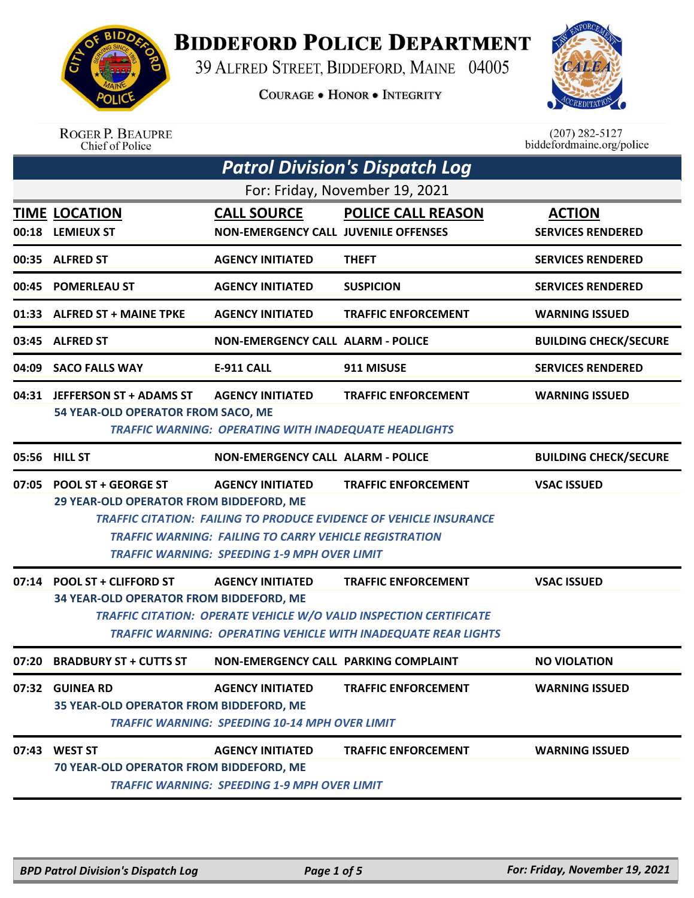

**BIDDEFORD POLICE DEPARTMENT** 

39 ALFRED STREET, BIDDEFORD, MAINE 04005

**COURAGE . HONOR . INTEGRITY** 



|       | <b>ROGER P. BEAUPRE</b><br>Chief of Police                             |                                                                                                                                                 |                                                                                                                                                                    | $(207)$ 282-5127<br>biddefordmaine.org/police |
|-------|------------------------------------------------------------------------|-------------------------------------------------------------------------------------------------------------------------------------------------|--------------------------------------------------------------------------------------------------------------------------------------------------------------------|-----------------------------------------------|
|       |                                                                        |                                                                                                                                                 | <b>Patrol Division's Dispatch Log</b>                                                                                                                              |                                               |
|       |                                                                        |                                                                                                                                                 | For: Friday, November 19, 2021                                                                                                                                     |                                               |
|       | <b>TIME LOCATION</b><br>00:18 LEMIEUX ST                               | <b>CALL SOURCE</b><br><b>NON-EMERGENCY CALL JUVENILE OFFENSES</b>                                                                               | <b>POLICE CALL REASON</b>                                                                                                                                          | <b>ACTION</b><br><b>SERVICES RENDERED</b>     |
|       | 00:35 ALFRED ST                                                        | <b>AGENCY INITIATED</b>                                                                                                                         | <b>THEFT</b>                                                                                                                                                       | <b>SERVICES RENDERED</b>                      |
| 00:45 | <b>POMERLEAU ST</b>                                                    | <b>AGENCY INITIATED</b>                                                                                                                         | <b>SUSPICION</b>                                                                                                                                                   | <b>SERVICES RENDERED</b>                      |
|       | 01:33 ALFRED ST + MAINE TPKE                                           | <b>AGENCY INITIATED</b>                                                                                                                         | <b>TRAFFIC ENFORCEMENT</b>                                                                                                                                         | <b>WARNING ISSUED</b>                         |
|       | 03:45 ALFRED ST                                                        | <b>NON-EMERGENCY CALL ALARM - POLICE</b>                                                                                                        |                                                                                                                                                                    | <b>BUILDING CHECK/SECURE</b>                  |
| 04:09 | <b>SACO FALLS WAY</b>                                                  | <b>E-911 CALL</b>                                                                                                                               | 911 MISUSE                                                                                                                                                         | <b>SERVICES RENDERED</b>                      |
|       | 04:31 JEFFERSON ST + ADAMS ST<br>54 YEAR-OLD OPERATOR FROM SACO, ME    | <b>AGENCY INITIATED</b><br><b>TRAFFIC WARNING: OPERATING WITH INADEQUATE HEADLIGHTS</b>                                                         | <b>TRAFFIC ENFORCEMENT</b>                                                                                                                                         | <b>WARNING ISSUED</b>                         |
|       | 05:56 HILL ST                                                          | <b>NON-EMERGENCY CALL ALARM - POLICE</b>                                                                                                        |                                                                                                                                                                    | <b>BUILDING CHECK/SECURE</b>                  |
| 07:05 | <b>POOL ST + GEORGE ST</b><br>29 YEAR-OLD OPERATOR FROM BIDDEFORD, ME  | <b>AGENCY INITIATED</b><br><b>TRAFFIC WARNING: FAILING TO CARRY VEHICLE REGISTRATION</b><br><b>TRAFFIC WARNING: SPEEDING 1-9 MPH OVER LIMIT</b> | <b>TRAFFIC ENFORCEMENT</b><br><b>TRAFFIC CITATION: FAILING TO PRODUCE EVIDENCE OF VEHICLE INSURANCE</b>                                                            | <b>VSAC ISSUED</b>                            |
|       | 07:14 POOL ST + CLIFFORD ST<br>34 YEAR-OLD OPERATOR FROM BIDDEFORD, ME | <b>AGENCY INITIATED</b>                                                                                                                         | <b>TRAFFIC ENFORCEMENT</b><br>TRAFFIC CITATION: OPERATE VEHICLE W/O VALID INSPECTION CERTIFICATE<br>TRAFFIC WARNING: OPERATING VEHICLE WITH INADEQUATE REAR LIGHTS | <b>VSAC ISSUED</b>                            |
|       | 07:20 BRADBURY ST + CUTTS ST                                           | NON-EMERGENCY CALL PARKING COMPLAINT                                                                                                            |                                                                                                                                                                    | <b>NO VIOLATION</b>                           |
|       | 07:32 GUINEA RD<br>35 YEAR-OLD OPERATOR FROM BIDDEFORD, ME             | <b>AGENCY INITIATED</b><br><b>TRAFFIC WARNING: SPEEDING 10-14 MPH OVER LIMIT</b>                                                                | <b>TRAFFIC ENFORCEMENT</b>                                                                                                                                         | <b>WARNING ISSUED</b>                         |
|       | 07:43 WEST ST<br>70 YEAR-OLD OPERATOR FROM BIDDEFORD, ME               | <b>AGENCY INITIATED</b><br><b>TRAFFIC WARNING: SPEEDING 1-9 MPH OVER LIMIT</b>                                                                  | <b>TRAFFIC ENFORCEMENT</b>                                                                                                                                         | <b>WARNING ISSUED</b>                         |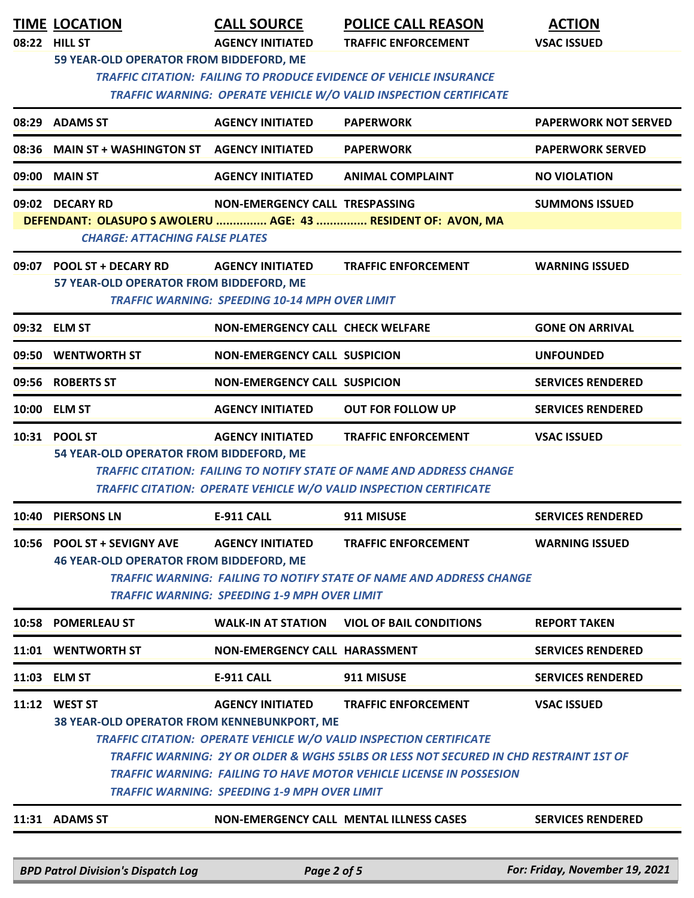| <b>TIME LOCATION</b>                                                                                                         | <b>CALL SOURCE</b>                                    | <b>POLICE CALL REASON</b>                                                             | <b>ACTION</b>               |
|------------------------------------------------------------------------------------------------------------------------------|-------------------------------------------------------|---------------------------------------------------------------------------------------|-----------------------------|
| 08:22 HILL ST<br>59 YEAR-OLD OPERATOR FROM BIDDEFORD, ME                                                                     | <b>AGENCY INITIATED</b>                               | <b>TRAFFIC ENFORCEMENT</b>                                                            | <b>VSAC ISSUED</b>          |
|                                                                                                                              |                                                       | <b>TRAFFIC CITATION: FAILING TO PRODUCE EVIDENCE OF VEHICLE INSURANCE</b>             |                             |
|                                                                                                                              |                                                       | TRAFFIC WARNING: OPERATE VEHICLE W/O VALID INSPECTION CERTIFICATE                     |                             |
| 08:29 ADAMS ST                                                                                                               | <b>AGENCY INITIATED</b>                               | <b>PAPERWORK</b>                                                                      | <b>PAPERWORK NOT SERVED</b> |
| 08:36 MAIN ST + WASHINGTON ST AGENCY INITIATED                                                                               |                                                       | <b>PAPERWORK</b>                                                                      | <b>PAPERWORK SERVED</b>     |
| 09:00 MAIN ST                                                                                                                | <b>AGENCY INITIATED</b>                               | <b>ANIMAL COMPLAINT</b>                                                               | <b>NO VIOLATION</b>         |
| 09:02 DECARY RD                                                                                                              | NON-EMERGENCY CALL TRESPASSING                        |                                                                                       | <b>SUMMONS ISSUED</b>       |
| <b>CHARGE: ATTACHING FALSE PLATES</b>                                                                                        |                                                       | DEFENDANT: OLASUPO S AWOLERU  AGE: 43  RESIDENT OF: AVON, MA                          |                             |
|                                                                                                                              |                                                       |                                                                                       |                             |
| 09:07 POOL ST + DECARY RD<br>57 YEAR-OLD OPERATOR FROM BIDDEFORD, ME                                                         | <b>AGENCY INITIATED</b>                               | <b>TRAFFIC ENFORCEMENT</b>                                                            | <b>WARNING ISSUED</b>       |
|                                                                                                                              | <b>TRAFFIC WARNING: SPEEDING 10-14 MPH OVER LIMIT</b> |                                                                                       |                             |
| 09:32 ELM ST                                                                                                                 | <b>NON-EMERGENCY CALL CHECK WELFARE</b>               |                                                                                       | <b>GONE ON ARRIVAL</b>      |
| 09:50 WENTWORTH ST                                                                                                           | <b>NON-EMERGENCY CALL SUSPICION</b>                   |                                                                                       | <b>UNFOUNDED</b>            |
| 09:56 ROBERTS ST                                                                                                             | <b>NON-EMERGENCY CALL SUSPICION</b>                   |                                                                                       | <b>SERVICES RENDERED</b>    |
| 10:00 ELM ST                                                                                                                 | <b>AGENCY INITIATED</b>                               | <b>OUT FOR FOLLOW UP</b>                                                              | <b>SERVICES RENDERED</b>    |
| 10:31 POOL ST                                                                                                                | <b>AGENCY INITIATED</b>                               | <b>TRAFFIC ENFORCEMENT</b>                                                            | <b>VSAC ISSUED</b>          |
| 54 YEAR-OLD OPERATOR FROM BIDDEFORD, ME<br><b>TRAFFIC CITATION: FAILING TO NOTIFY STATE OF NAME AND ADDRESS CHANGE</b>       |                                                       |                                                                                       |                             |
|                                                                                                                              |                                                       | TRAFFIC CITATION: OPERATE VEHICLE W/O VALID INSPECTION CERTIFICATE                    |                             |
| 10:40 PIERSONS LN                                                                                                            | <b>E-911 CALL</b>                                     | 911 MISUSE                                                                            | <b>SERVICES RENDERED</b>    |
| 10:56 POOL ST + SEVIGNY AVE                                                                                                  | <b>AGENCY INITIATED</b>                               | <b>TRAFFIC ENFORCEMENT</b>                                                            | <b>WARNING ISSUED</b>       |
| <b>46 YEAR-OLD OPERATOR FROM BIDDEFORD, ME</b><br><b>TRAFFIC WARNING: FAILING TO NOTIFY STATE OF NAME AND ADDRESS CHANGE</b> |                                                       |                                                                                       |                             |
| <b>TRAFFIC WARNING: SPEEDING 1-9 MPH OVER LIMIT</b>                                                                          |                                                       |                                                                                       |                             |
| 10:58 POMERLEAU ST                                                                                                           | <b>WALK-IN AT STATION</b>                             | <b>VIOL OF BAIL CONDITIONS</b>                                                        | <b>REPORT TAKEN</b>         |
| 11:01 WENTWORTH ST                                                                                                           | NON-EMERGENCY CALL HARASSMENT                         |                                                                                       | <b>SERVICES RENDERED</b>    |
| 11:03 ELM ST                                                                                                                 | <b>E-911 CALL</b>                                     | 911 MISUSE                                                                            | <b>SERVICES RENDERED</b>    |
| 11:12 WEST ST                                                                                                                | <b>AGENCY INITIATED</b>                               | <b>TRAFFIC ENFORCEMENT</b>                                                            | <b>VSAC ISSUED</b>          |
| 38 YEAR-OLD OPERATOR FROM KENNEBUNKPORT, ME                                                                                  |                                                       | TRAFFIC CITATION: OPERATE VEHICLE W/O VALID INSPECTION CERTIFICATE                    |                             |
|                                                                                                                              |                                                       | TRAFFIC WARNING: 2Y OR OLDER & WGHS 55LBS OR LESS NOT SECURED IN CHD RESTRAINT 1ST OF |                             |
| TRAFFIC WARNING: FAILING TO HAVE MOTOR VEHICLE LICENSE IN POSSESION                                                          |                                                       |                                                                                       |                             |
| <b>TRAFFIC WARNING: SPEEDING 1-9 MPH OVER LIMIT</b>                                                                          |                                                       |                                                                                       |                             |
| 11:31 ADAMS ST                                                                                                               |                                                       | NON-EMERGENCY CALL MENTAL ILLNESS CASES                                               | <b>SERVICES RENDERED</b>    |
|                                                                                                                              |                                                       |                                                                                       |                             |

*BPD Patrol Division's Dispatch Log Page 2 of 5 For: Friday, November 19, 2021*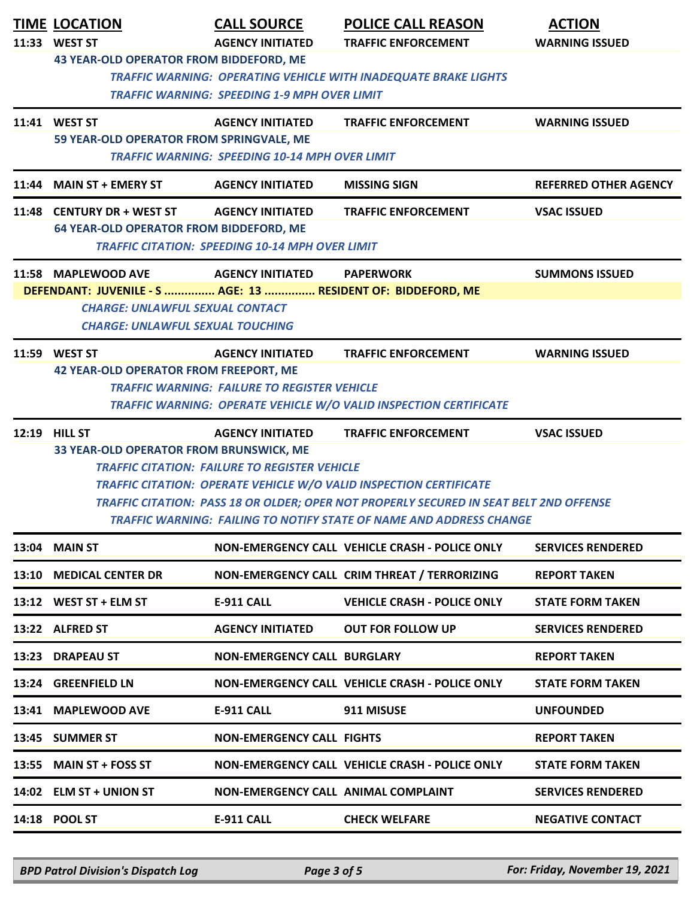| <b>TIME LOCATION</b><br>11:33 WEST ST<br>43 YEAR-OLD OPERATOR FROM BIDDEFORD, ME                                                                                                                                                                                                                                                                                                                                                                     | <b>CALL SOURCE</b><br><b>AGENCY INITIATED</b>                                     | <b>POLICE CALL REASON</b><br><b>TRAFFIC ENFORCEMENT</b>                                         | <b>ACTION</b><br><b>WARNING ISSUED</b> |  |
|------------------------------------------------------------------------------------------------------------------------------------------------------------------------------------------------------------------------------------------------------------------------------------------------------------------------------------------------------------------------------------------------------------------------------------------------------|-----------------------------------------------------------------------------------|-------------------------------------------------------------------------------------------------|----------------------------------------|--|
|                                                                                                                                                                                                                                                                                                                                                                                                                                                      | <b>TRAFFIC WARNING: SPEEDING 1-9 MPH OVER LIMIT</b>                               | <b>TRAFFIC WARNING: OPERATING VEHICLE WITH INADEQUATE BRAKE LIGHTS</b>                          |                                        |  |
| 11:41 WEST ST<br>59 YEAR-OLD OPERATOR FROM SPRINGVALE, ME                                                                                                                                                                                                                                                                                                                                                                                            | <b>AGENCY INITIATED</b><br><b>TRAFFIC WARNING: SPEEDING 10-14 MPH OVER LIMIT</b>  | <b>TRAFFIC ENFORCEMENT</b>                                                                      | <b>WARNING ISSUED</b>                  |  |
| 11:44 MAIN ST + EMERY ST                                                                                                                                                                                                                                                                                                                                                                                                                             | <b>AGENCY INITIATED</b>                                                           | <b>MISSING SIGN</b>                                                                             | <b>REFERRED OTHER AGENCY</b>           |  |
| 11:48 CENTURY DR + WEST ST<br><b>64 YEAR-OLD OPERATOR FROM BIDDEFORD, ME</b>                                                                                                                                                                                                                                                                                                                                                                         | <b>AGENCY INITIATED</b><br><b>TRAFFIC CITATION: SPEEDING 10-14 MPH OVER LIMIT</b> | <b>TRAFFIC ENFORCEMENT</b>                                                                      | <b>VSAC ISSUED</b>                     |  |
| 11:58 MAPLEWOOD AVE                                                                                                                                                                                                                                                                                                                                                                                                                                  | <b>AGENCY INITIATED</b>                                                           | <b>PAPERWORK</b>                                                                                | <b>SUMMONS ISSUED</b>                  |  |
| DEFENDANT: JUVENILE - S  AGE: 13  RESIDENT OF: BIDDEFORD, ME<br><b>CHARGE: UNLAWFUL SEXUAL CONTACT</b><br><b>CHARGE: UNLAWFUL SEXUAL TOUCHING</b>                                                                                                                                                                                                                                                                                                    |                                                                                   |                                                                                                 |                                        |  |
| 11:59 WEST ST<br><b>42 YEAR-OLD OPERATOR FROM FREEPORT, ME</b>                                                                                                                                                                                                                                                                                                                                                                                       | <b>AGENCY INITIATED</b><br><b>TRAFFIC WARNING: FAILURE TO REGISTER VEHICLE</b>    | <b>TRAFFIC ENFORCEMENT</b><br>TRAFFIC WARNING: OPERATE VEHICLE W/O VALID INSPECTION CERTIFICATE | <b>WARNING ISSUED</b>                  |  |
| 12:19 HILL ST<br><b>AGENCY INITIATED</b><br><b>TRAFFIC ENFORCEMENT</b><br><b>VSAC ISSUED</b><br>33 YEAR-OLD OPERATOR FROM BRUNSWICK, ME<br><b>TRAFFIC CITATION: FAILURE TO REGISTER VEHICLE</b><br><b>TRAFFIC CITATION: OPERATE VEHICLE W/O VALID INSPECTION CERTIFICATE</b><br>TRAFFIC CITATION: PASS 18 OR OLDER; OPER NOT PROPERLY SECURED IN SEAT BELT 2ND OFFENSE<br><b>TRAFFIC WARNING: FAILING TO NOTIFY STATE OF NAME AND ADDRESS CHANGE</b> |                                                                                   |                                                                                                 |                                        |  |
| 13:04 MAIN ST                                                                                                                                                                                                                                                                                                                                                                                                                                        |                                                                                   | NON-EMERGENCY CALL VEHICLE CRASH - POLICE ONLY                                                  | <b>SERVICES RENDERED</b>               |  |
| 13:10 MEDICAL CENTER DR                                                                                                                                                                                                                                                                                                                                                                                                                              |                                                                                   | NON-EMERGENCY CALL CRIM THREAT / TERRORIZING                                                    | <b>REPORT TAKEN</b>                    |  |
| 13:12 WEST ST + ELM ST                                                                                                                                                                                                                                                                                                                                                                                                                               | <b>E-911 CALL</b>                                                                 | <b>VEHICLE CRASH - POLICE ONLY</b>                                                              | <b>STATE FORM TAKEN</b>                |  |
| 13:22 ALFRED ST                                                                                                                                                                                                                                                                                                                                                                                                                                      | <b>AGENCY INITIATED</b>                                                           | <b>OUT FOR FOLLOW UP</b>                                                                        | <b>SERVICES RENDERED</b>               |  |
| 13:23 DRAPEAU ST                                                                                                                                                                                                                                                                                                                                                                                                                                     | <b>NON-EMERGENCY CALL BURGLARY</b>                                                |                                                                                                 | <b>REPORT TAKEN</b>                    |  |
| 13:24 GREENFIELD LN                                                                                                                                                                                                                                                                                                                                                                                                                                  |                                                                                   | NON-EMERGENCY CALL VEHICLE CRASH - POLICE ONLY                                                  | <b>STATE FORM TAKEN</b>                |  |
| 13:41 MAPLEWOOD AVE                                                                                                                                                                                                                                                                                                                                                                                                                                  | <b>E-911 CALL</b>                                                                 | 911 MISUSE                                                                                      | <b>UNFOUNDED</b>                       |  |
| 13:45 SUMMER ST                                                                                                                                                                                                                                                                                                                                                                                                                                      | <b>NON-EMERGENCY CALL FIGHTS</b>                                                  |                                                                                                 | <b>REPORT TAKEN</b>                    |  |
| 13:55 MAIN ST + FOSS ST                                                                                                                                                                                                                                                                                                                                                                                                                              |                                                                                   | NON-EMERGENCY CALL VEHICLE CRASH - POLICE ONLY                                                  | <b>STATE FORM TAKEN</b>                |  |
| 14:02 ELM ST + UNION ST                                                                                                                                                                                                                                                                                                                                                                                                                              | NON-EMERGENCY CALL ANIMAL COMPLAINT                                               |                                                                                                 | <b>SERVICES RENDERED</b>               |  |
| 14:18 POOL ST                                                                                                                                                                                                                                                                                                                                                                                                                                        | <b>E-911 CALL</b>                                                                 | <b>CHECK WELFARE</b>                                                                            | <b>NEGATIVE CONTACT</b>                |  |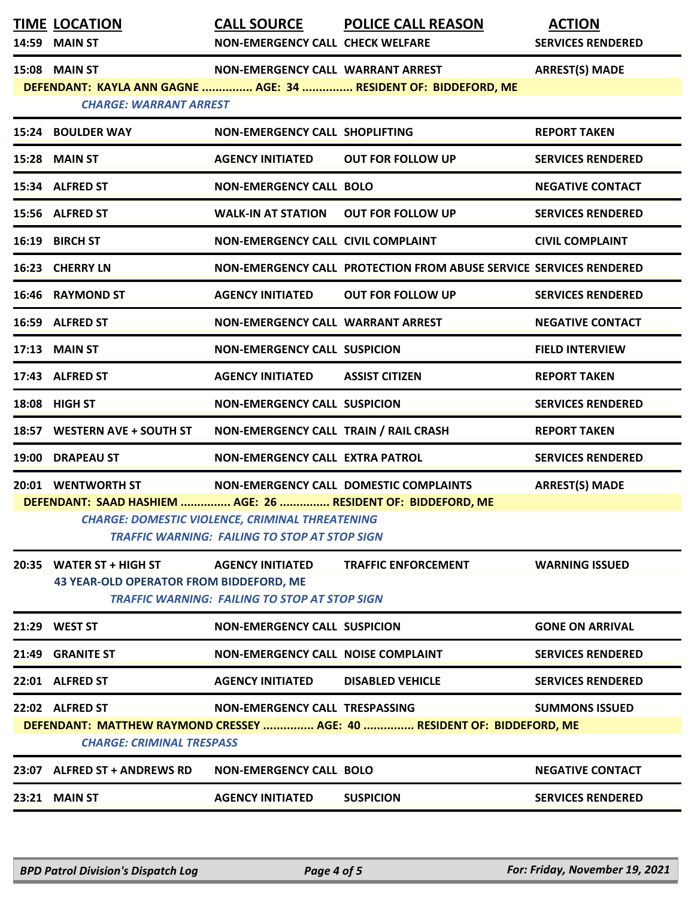|                                                                                                                                                                                                                                                                         | <b>TIME LOCATION</b><br>14:59 MAIN ST                                                                                                                                           | <b>CALL SOURCE</b><br><b>NON-EMERGENCY CALL CHECK WELFARE</b>                   | <b>POLICE CALL REASON</b>                                               | <b>ACTION</b><br><b>SERVICES RENDERED</b> |  |  |
|-------------------------------------------------------------------------------------------------------------------------------------------------------------------------------------------------------------------------------------------------------------------------|---------------------------------------------------------------------------------------------------------------------------------------------------------------------------------|---------------------------------------------------------------------------------|-------------------------------------------------------------------------|-------------------------------------------|--|--|
|                                                                                                                                                                                                                                                                         | 15:08 MAIN ST<br>NON-EMERGENCY CALL WARRANT ARREST<br><b>ARREST(S) MADE</b><br>DEFENDANT: KAYLA ANN GAGNE  AGE: 34  RESIDENT OF: BIDDEFORD, ME<br><b>CHARGE: WARRANT ARREST</b> |                                                                                 |                                                                         |                                           |  |  |
|                                                                                                                                                                                                                                                                         | 15:24 BOULDER WAY                                                                                                                                                               | NON-EMERGENCY CALL SHOPLIFTING                                                  |                                                                         | <b>REPORT TAKEN</b>                       |  |  |
|                                                                                                                                                                                                                                                                         | 15:28 MAIN ST                                                                                                                                                                   | <b>AGENCY INITIATED</b>                                                         | <b>OUT FOR FOLLOW UP</b>                                                | <b>SERVICES RENDERED</b>                  |  |  |
|                                                                                                                                                                                                                                                                         | 15:34 ALFRED ST                                                                                                                                                                 | <b>NON-EMERGENCY CALL BOLO</b>                                                  |                                                                         | <b>NEGATIVE CONTACT</b>                   |  |  |
|                                                                                                                                                                                                                                                                         | 15:56 ALFRED ST                                                                                                                                                                 | <b>WALK-IN AT STATION</b>                                                       | <b>OUT FOR FOLLOW UP</b>                                                | <b>SERVICES RENDERED</b>                  |  |  |
|                                                                                                                                                                                                                                                                         | 16:19 BIRCH ST                                                                                                                                                                  | NON-EMERGENCY CALL CIVIL COMPLAINT                                              |                                                                         | <b>CIVIL COMPLAINT</b>                    |  |  |
|                                                                                                                                                                                                                                                                         | 16:23 CHERRY LN                                                                                                                                                                 |                                                                                 | NON-EMERGENCY CALL PROTECTION FROM ABUSE SERVICE SERVICES RENDERED      |                                           |  |  |
|                                                                                                                                                                                                                                                                         | 16:46 RAYMOND ST                                                                                                                                                                | <b>AGENCY INITIATED</b>                                                         | <b>OUT FOR FOLLOW UP</b>                                                | <b>SERVICES RENDERED</b>                  |  |  |
|                                                                                                                                                                                                                                                                         | 16:59 ALFRED ST                                                                                                                                                                 | NON-EMERGENCY CALL WARRANT ARREST                                               |                                                                         | <b>NEGATIVE CONTACT</b>                   |  |  |
|                                                                                                                                                                                                                                                                         | 17:13 MAIN ST                                                                                                                                                                   | <b>NON-EMERGENCY CALL SUSPICION</b>                                             |                                                                         | <b>FIELD INTERVIEW</b>                    |  |  |
|                                                                                                                                                                                                                                                                         | 17:43 ALFRED ST                                                                                                                                                                 | <b>AGENCY INITIATED</b>                                                         | <b>ASSIST CITIZEN</b>                                                   | <b>REPORT TAKEN</b>                       |  |  |
|                                                                                                                                                                                                                                                                         | 18:08 HIGH ST                                                                                                                                                                   | <b>NON-EMERGENCY CALL SUSPICION</b>                                             |                                                                         | <b>SERVICES RENDERED</b>                  |  |  |
|                                                                                                                                                                                                                                                                         | 18:57 WESTERN AVE + SOUTH ST                                                                                                                                                    | NON-EMERGENCY CALL TRAIN / RAIL CRASH                                           |                                                                         | <b>REPORT TAKEN</b>                       |  |  |
|                                                                                                                                                                                                                                                                         | 19:00 DRAPEAU ST                                                                                                                                                                | <b>NON-EMERGENCY CALL EXTRA PATROL</b>                                          |                                                                         | <b>SERVICES RENDERED</b>                  |  |  |
| 20:01 WENTWORTH ST<br>NON-EMERGENCY CALL DOMESTIC COMPLAINTS<br><b>ARREST(S) MADE</b><br>DEFENDANT: SAAD HASHIEM  AGE: 26  RESIDENT OF: BIDDEFORD, ME<br><b>CHARGE: DOMESTIC VIOLENCE, CRIMINAL THREATENING</b><br><b>TRAFFIC WARNING: FAILING TO STOP AT STOP SIGN</b> |                                                                                                                                                                                 |                                                                                 |                                                                         |                                           |  |  |
|                                                                                                                                                                                                                                                                         | 20:35 WATER $ST + HIGH ST$<br><b>43 YEAR-OLD OPERATOR FROM BIDDEFORD, ME</b>                                                                                                    | <b>AGENCY INITIATED</b><br><b>TRAFFIC WARNING: FAILING TO STOP AT STOP SIGN</b> | <b>TRAFFIC ENFORCEMENT</b>                                              | <b>WARNING ISSUED</b>                     |  |  |
|                                                                                                                                                                                                                                                                         | 21:29 WEST ST                                                                                                                                                                   | <b>NON-EMERGENCY CALL SUSPICION</b>                                             |                                                                         | <b>GONE ON ARRIVAL</b>                    |  |  |
| 21:49                                                                                                                                                                                                                                                                   | <b>GRANITE ST</b>                                                                                                                                                               | <b>NON-EMERGENCY CALL NOISE COMPLAINT</b>                                       |                                                                         | <b>SERVICES RENDERED</b>                  |  |  |
|                                                                                                                                                                                                                                                                         | 22:01 ALFRED ST                                                                                                                                                                 | <b>AGENCY INITIATED</b>                                                         | <b>DISABLED VEHICLE</b>                                                 | <b>SERVICES RENDERED</b>                  |  |  |
|                                                                                                                                                                                                                                                                         | 22:02 ALFRED ST<br><b>CHARGE: CRIMINAL TRESPASS</b>                                                                                                                             | <b>NON-EMERGENCY CALL TRESPASSING</b>                                           | DEFENDANT: MATTHEW RAYMOND CRESSEY  AGE: 40  RESIDENT OF: BIDDEFORD, ME | <b>SUMMONS ISSUED</b>                     |  |  |
|                                                                                                                                                                                                                                                                         | 23:07 ALFRED ST + ANDREWS RD                                                                                                                                                    | <b>NON-EMERGENCY CALL BOLO</b>                                                  |                                                                         | <b>NEGATIVE CONTACT</b>                   |  |  |
|                                                                                                                                                                                                                                                                         | 23:21 MAIN ST                                                                                                                                                                   | <b>AGENCY INITIATED</b>                                                         | <b>SUSPICION</b>                                                        | <b>SERVICES RENDERED</b>                  |  |  |